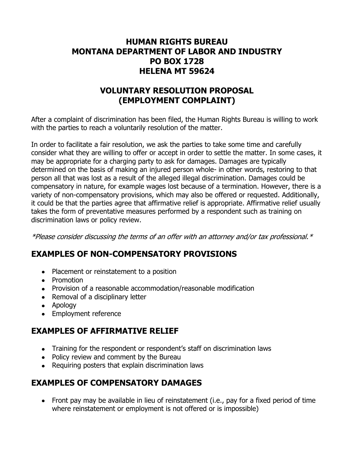## **HUMAN RIGHTS BUREAU MONTANA DEPARTMENT OF LABOR AND INDUSTRY PO BOX 1728 HELENA MT 59624**

# **VOLUNTARY RESOLUTION PROPOSAL (EMPLOYMENT COMPLAINT)**

After a complaint of discrimination has been filed, the Human Rights Bureau is willing to work with the parties to reach a voluntarily resolution of the matter.

In order to facilitate a fair resolution, we ask the parties to take some time and carefully consider what they are willing to offer or accept in order to settle the matter. In some cases, it may be appropriate for a charging party to ask for damages. Damages are typically determined on the basis of making an injured person whole- in other words, restoring to that person all that was lost as a result of the alleged illegal discrimination. Damages could be compensatory in nature, for example wages lost because of a termination. However, there is a variety of non-compensatory provisions, which may also be offered or requested. Additionally, it could be that the parties agree that affirmative relief is appropriate. Affirmative relief usually takes the form of preventative measures performed by a respondent such as training on discrimination laws or policy review.

\*Please consider discussing the terms of an offer with an attorney and/or tax professional.\*

## **EXAMPLES OF NON-COMPENSATORY PROVISIONS**

- Placement or reinstatement to a position
- Promotion
- Provision of a reasonable accommodation/reasonable modification
- Removal of a disciplinary letter
- Apology
- Employment reference

## **EXAMPLES OF AFFIRMATIVE RELIEF**

- Training for the respondent or respondent's staff on discrimination laws
- Policy review and comment by the Bureau
- Requiring posters that explain discrimination laws

## **EXAMPLES OF COMPENSATORY DAMAGES**

• Front pay may be available in lieu of reinstatement (i.e., pay for a fixed period of time where reinstatement or employment is not offered or is impossible)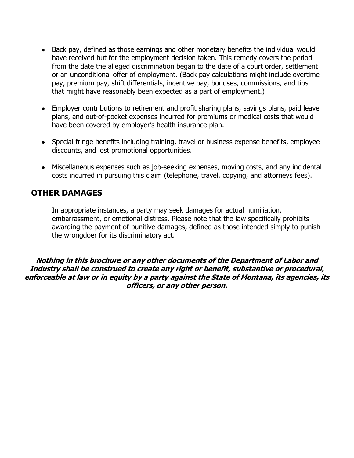- Back pay, defined as those earnings and other monetary benefits the individual would have received but for the employment decision taken. This remedy covers the period from the date the alleged discrimination began to the date of a court order, settlement or an unconditional offer of employment. (Back pay calculations might include overtime pay, premium pay, shift differentials, incentive pay, bonuses, commissions, and tips that might have reasonably been expected as a part of employment.)
- Employer contributions to retirement and profit sharing plans, savings plans, paid leave plans, and out-of-pocket expenses incurred for premiums or medical costs that would have been covered by employer's health insurance plan.
- Special fringe benefits including training, travel or business expense benefits, employee discounts, and lost promotional opportunities.
- Miscellaneous expenses such as job-seeking expenses, moving costs, and any incidental costs incurred in pursuing this claim (telephone, travel, copying, and attorneys fees).

## **OTHER DAMAGES**

In appropriate instances, a party may seek damages for actual humiliation, embarrassment, or emotional distress. Please note that the law specifically prohibits awarding the payment of punitive damages, defined as those intended simply to punish the wrongdoer for its discriminatory act.

**Nothing in this brochure or any other documents of the Department of Labor and Industry shall be construed to create any right or benefit, substantive or procedural, enforceable at law or in equity by a party against the State of Montana, its agencies, its officers, or any other person.**